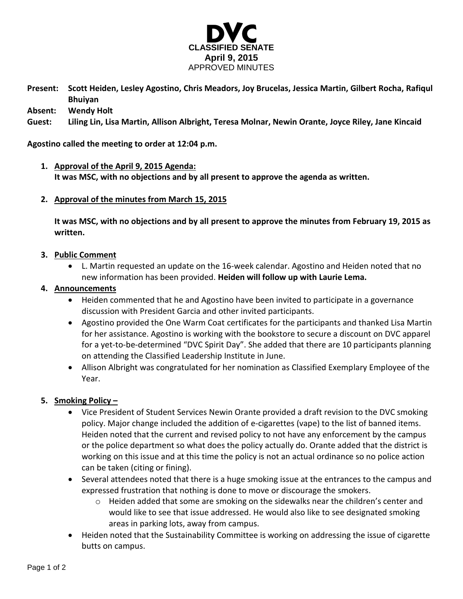

**Present: Scott Heiden, Lesley Agostino, Chris Meadors, Joy Brucelas, Jessica Martin, Gilbert Rocha, Rafiqul Bhuiyan**

**Absent: Wendy Holt**

**Guest: Liling Lin, Lisa Martin, Allison Albright, Teresa Molnar, Newin Orante, Joyce Riley, Jane Kincaid**

**Agostino called the meeting to order at 12:04 p.m.**

- **1. Approval of the April 9, 2015 Agenda: It was MSC, with no objections and by all present to approve the agenda as written.**
- **2. Approval of the minutes from March 15, 2015**

**It was MSC, with no objections and by all present to approve the minutes from February 19, 2015 as written.**

- **3. Public Comment**
	- L. Martin requested an update on the 16-week calendar. Agostino and Heiden noted that no new information has been provided. **Heiden will follow up with Laurie Lema.**

## **4. Announcements**

- Heiden commented that he and Agostino have been invited to participate in a governance discussion with President Garcia and other invited participants.
- Agostino provided the One Warm Coat certificates for the participants and thanked Lisa Martin for her assistance. Agostino is working with the bookstore to secure a discount on DVC apparel for a yet-to-be-determined "DVC Spirit Day". She added that there are 10 participants planning on attending the Classified Leadership Institute in June.
- Allison Albright was congratulated for her nomination as Classified Exemplary Employee of the Year.

## **5. Smoking Policy –**

- Vice President of Student Services Newin Orante provided a draft revision to the DVC smoking policy. Major change included the addition of e-cigarettes (vape) to the list of banned items. Heiden noted that the current and revised policy to not have any enforcement by the campus or the police department so what does the policy actually do. Orante added that the district is working on this issue and at this time the policy is not an actual ordinance so no police action can be taken (citing or fining).
- Several attendees noted that there is a huge smoking issue at the entrances to the campus and expressed frustration that nothing is done to move or discourage the smokers.
	- $\circ$  Heiden added that some are smoking on the sidewalks near the children's center and would like to see that issue addressed. He would also like to see designated smoking areas in parking lots, away from campus.
- Heiden noted that the Sustainability Committee is working on addressing the issue of cigarette butts on campus.